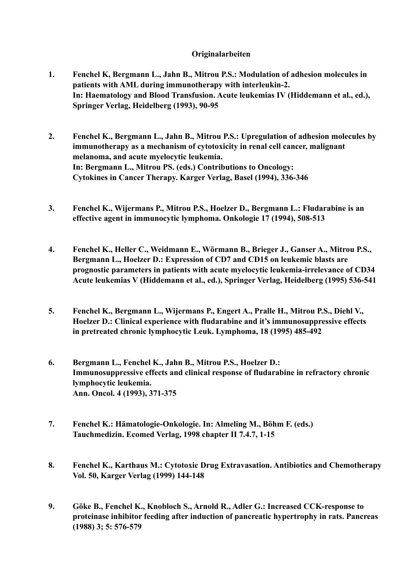## **Originalarbeiten**

- **1. Fenchel K, Bergmann L., Jahn B., Mitrou P.S.: Modulation of adhesion molecules in patients with AML during immunotherapy with interleukin-2. In: Haematology and Blood Transfusion. Acute leukemias IV (Hiddemann et al., ed.), Springer Verlag, Heidelberg (1993), 90-95**
- **2. Fenchel K., Bergmann L., Jahn B., Mitrou P.S.: Upregulation of adhesion molecules by immunotherapy as a mechanism of cytotoxicity in renal cell cancer, malignant melanoma, and acute myelocytic leukemia. In: Bergmann L., Mitrou PS. (eds.) Contributions to Oncology: Cytokines in Cancer Therapy. Karger Verlag, Basel (1994), 336-346**
- **3. Fenchel K., Wijermans P., Mitrou P.S., Hoelzer D., Bergmann L.: Fludarabine is an effective agent in immunocytic lymphoma. Onkologie 17 (1994), 508-513**
- **4. Fenchel K., Heller C., Weidmann E., Wörmann B., Brieger J., Ganser A., Mitrou P.S., Bergmann L., Hoelzer D.: Expression of CD7 and CD15 on leukemic blasts are prognostic parameters in patients with acute myelocytic leukemia-irrelevance of CD34 Acute leukemias V (Hiddemann et al., ed.), Springer Verlag, Heidelberg (1995) 536-541**
- **5. Fenchel K., Bergmann L., Wijermans P., Engert A., Pralle H., Mitrou P.S., Diehl V., Hoelzer D.: Clinical experience with fludarabine and it's immunosuppressive effects in pretreated chronic lymphocytic Leuk. Lymphoma, 18 (1995) 485-492**
- **6. Bergmann L., Fenchel K., Jahn B., Mitrou P.S., Hoelzer D.: Immunosuppressive effects and clinical response of fludarabine in refractory chronic lymphocytic leukemia. Ann. Oncol. 4 (1993), 371-375**
- **7. Fenchel K.: Hämatologie-Onkologie. In: Almeling M., Böhm F. (eds.) Tauchmedizin. Ecomed Verlag, 1998 chapter II 7.4.7, 1-15**
- **8. Fenchel K., Karthaus M.: Cytotoxic Drug Extravasation. Antibiotics and Chemotherapy Vol. 50, Karger Verlag (1999) 144-148**
- **9. Göke B., Fenchel K., Knobloch S., Arnold R., Adler G.: Increased CCK-response to proteinase inhibitor feeding after induction of pancreatic hypertrophy in rats. Pancreas (1988) 3; 5: 576-579**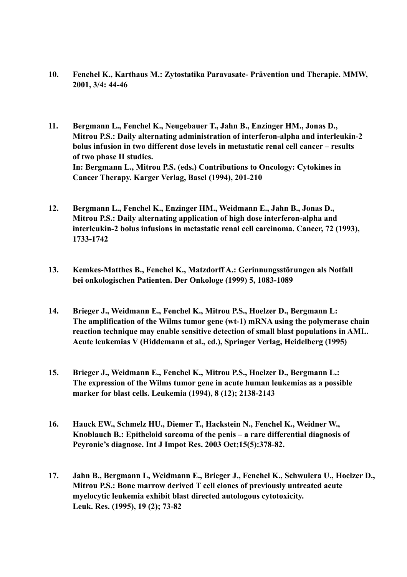- **10. Fenchel K., Karthaus M.: Zytostatika Paravasate- Prävention und Therapie. MMW, 2001, 3/4: 44-46**
- **11. Bergmann L., Fenchel K., Neugebauer T., Jahn B., Enzinger HM., Jonas D., Mitrou P.S.: Daily alternating administration of interferon-alpha and interleukin-2 bolus infusion in two different dose levels in metastatic renal cell cancer – results of two phase II studies. In: Bergmann L., Mitrou P.S. (eds.) Contributions to Oncology: Cytokines in Cancer Therapy. Karger Verlag, Basel (1994), 201-210**
- **12. Bergmann L., Fenchel K., Enzinger HM., Weidmann E., Jahn B., Jonas D., Mitrou P.S.: Daily alternating application of high dose interferon-alpha and interleukin-2 bolus infusions in metastatic renal cell carcinoma. Cancer, 72 (1993), 1733-1742**
- **13. Kemkes-Matthes B., Fenchel K., Matzdorff A.: Gerinnungsstörungen als Notfall bei onkologischen Patienten. Der Onkologe (1999) 5, 1083-1089**
- **14. Brieger J., Weidmann E., Fenchel K., Mitrou P.S., Hoelzer D., Bergmann L: The amplification of the Wilms tumor gene (wt-1) mRNA using the polymerase chain reaction technique may enable sensitive detection of small blast populations in AML. Acute leukemias V (Hiddemann et al., ed.), Springer Verlag, Heidelberg (1995)**
- **15. Brieger J., Weidmann E., Fenchel K., Mitrou P.S., Hoelzer D., Bergmann L.: The expression of the Wilms tumor gene in acute human leukemias as a possible marker for blast cells. Leukemia (1994), 8 (12); 2138-2143**
- **16. Hauck EW., Schmelz HU., Diemer T., Hackstein N., Fenchel K., Weidner W., Knoblauch B.: Epitheloid sarcoma of the penis – a rare differential diagnosis of Peyronie's diagnose. Int J Impot Res. 2003 Oct;15(5):378-82.**
- **17. Jahn B., Bergmann L, Weidmann E., Brieger J., Fenchel K., Schwulera U., Hoelzer D., Mitrou P.S.: Bone marrow derived T cell clones of previously untreated acute myelocytic leukemia exhibit blast directed autologous cytotoxicity. Leuk. Res. (1995), 19 (2); 73-82**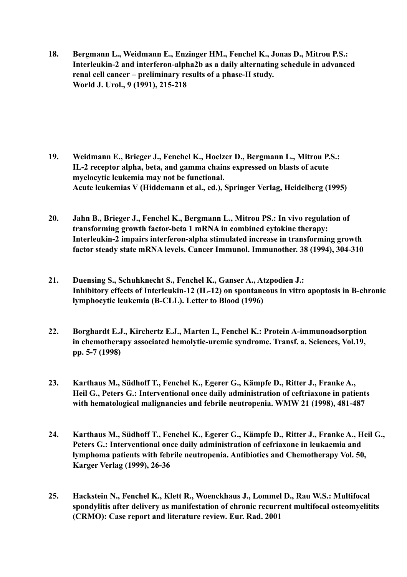**18. Bergmann L., Weidmann E., Enzinger HM., Fenchel K., Jonas D., Mitrou P.S.: Interleukin-2 and interferon-alpha2b as a daily alternating schedule in advanced renal cell cancer – preliminary results of a phase-II study. World J. Urol., 9 (1991), 215-218**

- **19. Weidmann E., Brieger J., Fenchel K., Hoelzer D., Bergmann L., Mitrou P.S.: IL-2 receptor alpha, beta, and gamma chains expressed on blasts of acute myelocytic leukemia may not be functional. Acute leukemias V (Hiddemann et al., ed.), Springer Verlag, Heidelberg (1995)**
- **20. Jahn B., Brieger J., Fenchel K., Bergmann L., Mitrou PS.: In vivo regulation of transforming growth factor-beta 1 mRNA in combined cytokine therapy: Interleukin-2 impairs interferon-alpha stimulated increase in transforming growth factor steady state mRNA levels. Cancer Immunol. Immunother. 38 (1994), 304-310**
- **21. Duensing S., Schuhknecht S., Fenchel K., Ganser A., Atzpodien J.: Inhibitory effects of Interleukin-12 (IL-12) on spontaneous in vitro apoptosis in B-chronic lymphocytic leukemia (B-CLL). Letter to Blood (1996)**
- **22. Borghardt E.J., Kirchertz E.J., Marten I., Fenchel K.: Protein A-immunoadsorption in chemotherapy associated hemolytic-uremic syndrome. Transf. a. Sciences, Vol.19, pp. 5-7 (1998)**
- **23. Karthaus M., Südhoff T., Fenchel K., Egerer G., Kämpfe D., Ritter J., Franke A., Heil G., Peters G.: Interventional once daily administration of ceftriaxone in patients with hematological malignancies and febrile neutropenia. WMW 21 (1998), 481-487**
- **24. Karthaus M., Südhoff T., Fenchel K., Egerer G., Kämpfe D., Ritter J., Franke A., Heil G., Peters G.: Interventional once daily administration of cefriaxone in leukaemia and lymphoma patients with febrile neutropenia. Antibiotics and Chemotherapy Vol. 50, Karger Verlag (1999), 26-36**
- **25. Hackstein N., Fenchel K., Klett R., Woenckhaus J., Lommel D., Rau W.S.: Multifocal spondylitis after delivery as manifestation of chronic recurrent multifocal osteomyelitits (CRMO): Case report and literature review. Eur. Rad. 2001**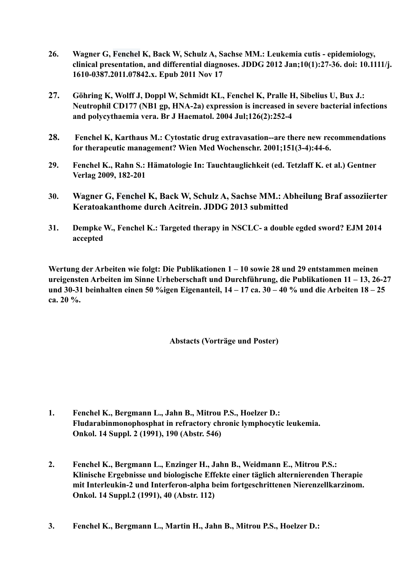- **26. [Wagner G,](http://www.ncbi.nlm.nih.gov/pubmed?term=wagner%2520g%255bauthor%255d&cauthor=true&cauthor_uid=22115500) [Fenchel K](http://www.ncbi.nlm.nih.gov/pubmed?term=fenchel%2520k%255bauthor%255d&cauthor=true&cauthor_uid=22115500), [Back W,](http://www.ncbi.nlm.nih.gov/pubmed?term=back%2520w%255bauthor%255d&cauthor=true&cauthor_uid=22115500) [Schulz A,](http://www.ncbi.nlm.nih.gov/pubmed?term=schulz%2520a%255bauthor%255d&cauthor=true&cauthor_uid=22115500) [Sachse MM](http://www.ncbi.nlm.nih.gov/pubmed?term=sachse%2520mm%255bauthor%255d&cauthor=true&cauthor_uid=22115500).: Leukemia cutis epidemiology, clinical presentation, and differential diagnoses. JDDG 2012 Jan;10(1):27-36. doi: 10.1111/j. 1610-0387.2011.07842.x. Epub 2011 Nov 17**
- **27. Göhring K, Wolff J, Doppl W, Schmidt KL, Fenchel K, Pralle H, Sibelius U, Bux J.: [Neutrophil CD177 \(NB1 gp, HNA-2a\) expression is increased in severe bacterial infections](http://www.ncbi.nlm.nih.gov/pubmed/15238147)  and polycythaemia vera. Br J Haematol. 2004 Jul;126(2):252-4**
- **28. [Fenchel K, Karthaus M.: Cytostatic drug extravasation--are there new recommendations](http://www.ncbi.nlm.nih.gov/pubmed/11789418)  for therapeutic management? Wien Med Wochenschr. 2001;151(3-4):44-6.**
- **29. Fenchel K., Rahn S.: Hämatologie In: Tauchtauglichkeit (ed. Tetzlaff K. et al.) Gentner Verlag 2009, 182-201**
- **30. [Wagner G](http://www.ncbi.nlm.nih.gov/pubmed?term=wagner%2520g%255bauthor%255d&cauthor=true&cauthor_uid=22115500), [Fenchel K,](http://www.ncbi.nlm.nih.gov/pubmed?term=fenchel%2520k%255bauthor%255d&cauthor=true&cauthor_uid=22115500) [Back W](http://www.ncbi.nlm.nih.gov/pubmed?term=back%2520w%255bauthor%255d&cauthor=true&cauthor_uid=22115500), [Schulz A](http://www.ncbi.nlm.nih.gov/pubmed?term=schulz%2520a%255bauthor%255d&cauthor=true&cauthor_uid=22115500), [Sachse MM](http://www.ncbi.nlm.nih.gov/pubmed?term=sachse%2520mm%255bauthor%255d&cauthor=true&cauthor_uid=22115500).: Abheilung Braf assoziierter Keratoakanthome durch Acitrein. JDDG 2013 submitted**
- **31. Dempke W., Fenchel K.: Targeted therapy in NSCLC- a double egded sword? EJM 2014 accepted**

**Wertung der Arbeiten wie folgt: Die Publikationen 1 – 10 sowie 28 und 29 entstammen meinen ureigensten Arbeiten im Sinne Urheberschaft und Durchführung, die Publikationen 11 – 13, 26-27 und 30-31 beinhalten einen 50 %igen Eigenanteil, 14 – 17 ca. 30 – 40 % und die Arbeiten 18 – 25 ca. 20 %.** 

 **Abstacts (Vorträge und Poster)**

- **1. Fenchel K., Bergmann L., Jahn B., Mitrou P.S., Hoelzer D.: Fludarabinmonophosphat in refractory chronic lymphocytic leukemia. Onkol. 14 Suppl. 2 (1991), 190 (Abstr. 546)**
- **2. Fenchel K., Bergmann L., Enzinger H., Jahn B., Weidmann E., Mitrou P.S.: Klinische Ergebnisse und biologische Effekte einer täglich alternierenden Therapie mit Interleukin-2 und Interferon-alpha beim fortgeschrittenen Nierenzellkarzinom. Onkol. 14 Suppl.2 (1991), 40 (Abstr. 112)**
- **3. Fenchel K., Bergmann L., Martin H., Jahn B., Mitrou P.S., Hoelzer D.:**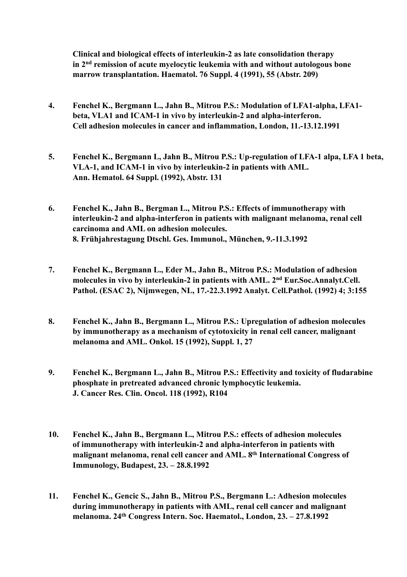**Clinical and biological effects of interleukin-2 as late consolidation therapy in 2nd remission of acute myelocytic leukemia with and without autologous bone marrow transplantation. Haematol. 76 Suppl. 4 (1991), 55 (Abstr. 209)**

- **4. Fenchel K., Bergmann L., Jahn B., Mitrou P.S.: Modulation of LFA1-alpha, LFA1 beta, VLA1 and ICAM-1 in vivo by interleukin-2 and alpha-interferon. Cell adhesion molecules in cancer and inflammation, London, 11.-13.12.1991**
- **5. Fenchel K., Bergmann L, Jahn B., Mitrou P.S.: Up-regulation of LFA-1 alpa, LFA 1 beta, VLA-1, and ICAM-1 in vivo by interleukin-2 in patients with AML. Ann. Hematol. 64 Suppl. (1992), Abstr. 131**
- **6. Fenchel K., Jahn B., Bergman L., Mitrou P.S.: Effects of immunotherapy with interleukin-2 and alpha-interferon in patients with malignant melanoma, renal cell carcinoma and AML on adhesion molecules. 8. Frühjahrestagung Dtschl. Ges. Immunol., München, 9.-11.3.1992**
- **7. Fenchel K., Bergmann L., Eder M., Jahn B., Mitrou P.S.: Modulation of adhesion molecules in vivo by interleukin-2 in patients with AML. 2nd Eur.Soc.Annalyt.Cell. Pathol. (ESAC 2), Nijmwegen, NL, 17.-22.3.1992 Analyt. Cell.Pathol. (1992) 4; 3:155**
- **8. Fenchel K., Jahn B., Bergmann L., Mitrou P.S.: Upregulation of adhesion molecules by immunotherapy as a mechanism of cytotoxicity in renal cell cancer, malignant melanoma and AML. Onkol. 15 (1992), Suppl. 1, 27**
- **9. Fenchel K., Bergmann L., Jahn B., Mitrou P.S.: Effectivity and toxicity of fludarabine phosphate in pretreated advanced chronic lymphocytic leukemia. J. Cancer Res. Clin. Oncol. 118 (1992), R104**
- **10. Fenchel K., Jahn B., Bergmann L., Mitrou P.S.: effects of adhesion molecules of immunotherapy with interleukin-2 and alpha-interferon in patients with malignant melanoma, renal cell cancer and AML. 8th International Congress of Immunology, Budapest, 23. – 28.8.1992**
- **11. Fenchel K., Gencic S., Jahn B., Mitrou P.S., Bergmann L.: Adhesion molecules during immunotherapy in patients with AML, renal cell cancer and malignant melanoma. 24th Congress Intern. Soc. Haematol., London, 23. – 27.8.1992**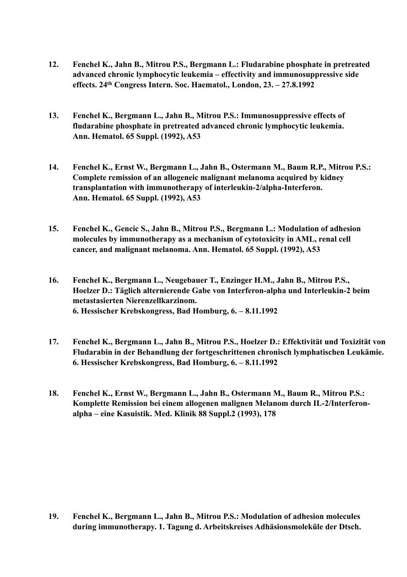- **12. Fenchel K., Jahn B., Mitrou P.S., Bergmann L.: Fludarabine phosphate in pretreated advanced chronic lymphocytic leukemia – effectivity and immunosuppressive side effects. 24th Congress Intern. Soc. Haematol., London, 23. – 27.8.1992**
- **13. Fenchel K., Bergmann L., Jahn B., Mitrou P.S.: Immunosuppressive effects of fludarabine phosphate in pretreated advanced chronic lymphocytic leukemia. Ann. Hematol. 65 Suppl. (1992), A53**
- **14. Fenchel K., Ernst W., Bergmann L., Jahn B., Ostermann M., Baum R.P., Mitrou P.S.: Complete remission of an allogeneic malignant melanoma acquired by kidney transplantation with immunotherapy of interleukin-2/alpha-Interferon. Ann. Hematol. 65 Suppl. (1992), A53**
- **15. Fenchel K., Gencic S., Jahn B., Mitrou P.S., Bergmann L.: Modulation of adhesion molecules by immunotherapy as a mechanism of cytotoxicity in AML, renal cell cancer, and malignant melanoma. Ann. Hematol. 65 Suppl. (1992), A53**
- **16. Fenchel K., Bergmann L., Neugebauer T., Enzinger H.M., Jahn B., Mitrou P.S., Hoelzer D.: Täglich alternierende Gabe von Interferon-alpha und Interleukin-2 beim metastasierten Nierenzellkarzinom. 6. Hessischer Krebskongress, Bad Homburg, 6. – 8.11.1992**
- **17. Fenchel K., Bergmann L., Jahn B., Mitrou P.S., Hoelzer D.: Effektivität und Toxizität von Fludarabin in der Behandlung der fortgeschrittenen chronisch lymphatischen Leukämie. 6. Hessischer Krebskongress, Bad Homburg, 6. – 8.11.1992**
- **18. Fenchel K., Ernst W., Bergmann L., Jahn B., Ostermann M., Baum R., Mitrou P.S.: Komplette Remission bei einem allogenen malignen Melanom durch IL-2/Interferon alpha – eine Kasuistik. Med. Klinik 88 Suppl.2 (1993), 178**

**19. Fenchel K., Bergmann L., Jahn B., Mitrou P.S.: Modulation of adhesion molecules during immunotherapy. 1. Tagung d. Arbeitskreises Adhäsionsmoleküle der Dtsch.**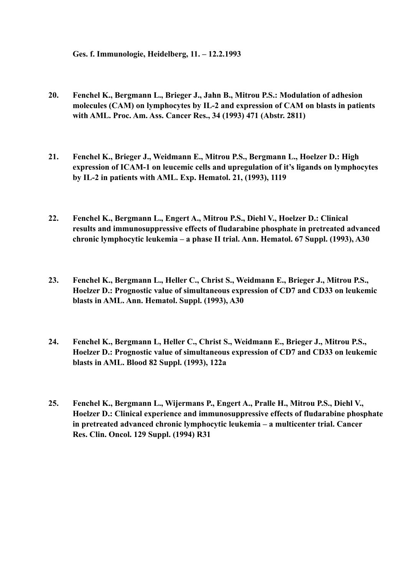**Ges. f. Immunologie, Heidelberg, 11. – 12.2.1993**

- **20. Fenchel K., Bergmann L., Brieger J., Jahn B., Mitrou P.S.: Modulation of adhesion molecules (CAM) on lymphocytes by IL-2 and expression of CAM on blasts in patients with AML. Proc. Am. Ass. Cancer Res., 34 (1993) 471 (Abstr. 2811)**
- **21. Fenchel K., Brieger J., Weidmann E., Mitrou P.S., Bergmann L., Hoelzer D.: High expression of ICAM-1 on leucemic cells and upregulation of it's ligands on lymphocytes by IL-2 in patients with AML. Exp. Hematol. 21, (1993), 1119**
- **22. Fenchel K., Bergmann L., Engert A., Mitrou P.S., Diehl V., Hoelzer D.: Clinical results and immunosuppressive effects of fludarabine phosphate in pretreated advanced chronic lymphocytic leukemia – a phase II trial. Ann. Hematol. 67 Suppl. (1993), A30**
- **23. Fenchel K., Bergmann L., Heller C., Christ S., Weidmann E., Brieger J., Mitrou P.S., Hoelzer D.: Prognostic value of simultaneous expression of CD7 and CD33 on leukemic blasts in AML. Ann. Hematol. Suppl. (1993), A30**
- **24. Fenchel K., Bergmann L, Heller C., Christ S., Weidmann E., Brieger J., Mitrou P.S., Hoelzer D.: Prognostic value of simultaneous expression of CD7 and CD33 on leukemic blasts in AML. Blood 82 Suppl. (1993), 122a**
- **25. Fenchel K., Bergmann L., Wijermans P., Engert A., Pralle H., Mitrou P.S., Diehl V., Hoelzer D.: Clinical experience and immunosuppressive effects of fludarabine phosphate in pretreated advanced chronic lymphocytic leukemia – a multicenter trial. Cancer Res. Clin. Oncol. 129 Suppl. (1994) R31**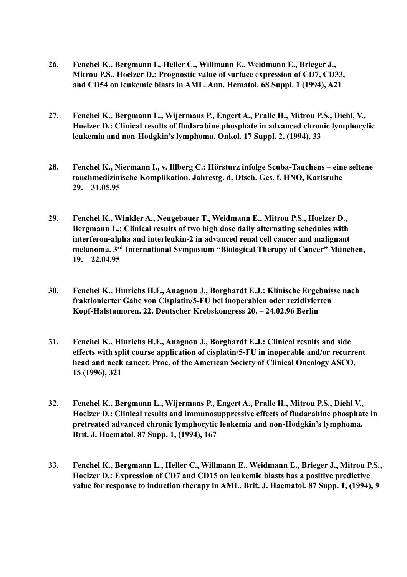- **26. Fenchel K., Bergmann L, Heller C., Willmann E., Weidmann E., Brieger J., Mitrou P.S., Hoelzer D.: Prognostic value of surface expression of CD7, CD33, and CD54 on leukemic blasts in AML. Ann. Hematol. 68 Suppl. 1 (1994), A21**
- **27. Fenchel K., Bergmann L., Wijermans P., Engert A., Pralle H., Mitrou P.S., Diehl, V., Hoelzer D.: Clinical results of fludarabine phosphate in advanced chronic lymphocytic leukemia and non-Hodgkin's lymphoma. Onkol. 17 Suppl. 2, (1994), 33**
- **28. Fenchel K., Niermann I., v. Illberg C.: Hörsturz infolge Scuba-Tauchens eine seltene tauchmedizinische Komplikation. Jahrestg. d. Dtsch. Ges. f. HNO, Karlsruhe 29. – 31.05.95**
- **29. Fenchel K., Winkler A., Neugebauer T., Weidmann E., Mitrou P.S., Hoelzer D., Bergmann L.: Clinical results of two high dose daily alternating schedules with interferon-alpha and interleukin-2 in advanced renal cell cancer and malignant melanoma. 3rd International Symposium "Biological Therapy of Cancer" München, 19. – 22.04.95**
- **30. Fenchel K., Hinrichs H.F., Anagnou J., Borghardt E.J.: Klinische Ergebnisse nach fraktionierter Gabe von Cisplatin/5-FU bei inoperablen oder rezidivierten Kopf-Halstumoren. 22. Deutscher Krebskongress 20. – 24.02.96 Berlin**
- **31. Fenchel K., Hinrichs H.F., Anagnou J., Borghardt E.J.: Clinical results and side effects with split course application of cisplatin/5-FU in inoperable and/or recurrent head and neck cancer. Proc. of the American Society of Clinical Oncology ASCO, 15 (1996), 321**
- **32. Fenchel K., Bergmann L., Wijermans P., Engert A., Pralle H., Mitrou P.S., Diehl V., Hoelzer D.: Clinical results and immunosuppressive effects of fludarabine phosphate in pretreated advanced chronic lymphocytic leukemia and non-Hodgkin's lymphoma. Brit. J. Haematol. 87 Supp. 1, (1994), 167**
- **33. Fenchel K., Bergmann L., Heller C., Willmann E., Weidmann E., Brieger J., Mitrou P.S., Hoelzer D.: Expression of CD7 and CD15 on leukemic blasts has a positive predictive value for response to induction therapy in AML. Brit. J. Haematol. 87 Supp. 1, (1994), 9**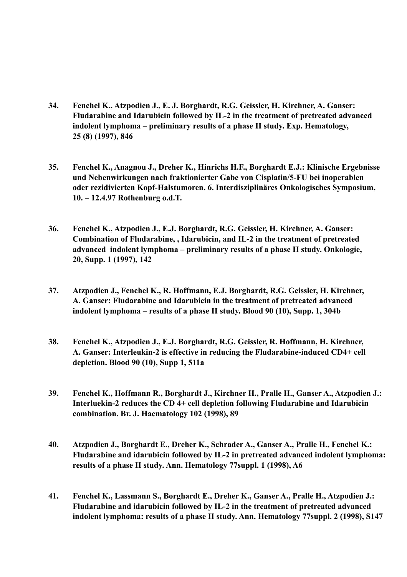- **34. Fenchel K., Atzpodien J., E. J. Borghardt, R.G. Geissler, H. Kirchner, A. Ganser: Fludarabine and Idarubicin followed by IL-2 in the treatment of pretreated advanced indolent lymphoma – preliminary results of a phase II study. Exp. Hematology, 25 (8) (1997), 846**
- **35. Fenchel K., Anagnou J., Dreher K., Hinrichs H.F., Borghardt E.J.: Klinische Ergebnisse und Nebenwirkungen nach fraktionierter Gabe von Cisplatin/5-FU bei inoperablen oder rezidivierten Kopf-Halstumoren. 6. Interdisziplinäres Onkologisches Symposium, 10. – 12.4.97 Rothenburg o.d.T.**
- **36. Fenchel K., Atzpodien J., E.J. Borghardt, R.G. Geissler, H. Kirchner, A. Ganser: Combination of Fludarabine, , Idarubicin, and IL-2 in the treatment of pretreated advanced indolent lymphoma – preliminary results of a phase II study. Onkologie, 20, Supp. 1 (1997), 142**
- **37. Atzpodien J., Fenchel K., R. Hoffmann, E.J. Borghardt, R.G. Geissler, H. Kirchner, A. Ganser: Fludarabine and Idarubicin in the treatment of pretreated advanced indolent lymphoma – results of a phase II study. Blood 90 (10), Supp. 1, 304b**
- **38. Fenchel K., Atzpodien J., E.J. Borghardt, R.G. Geissler, R. Hoffmann, H. Kirchner, A. Ganser: Interleukin-2 is effective in reducing the Fludarabine-induced CD4+ cell depletion. Blood 90 (10), Supp 1, 511a**
- **39. Fenchel K., Hoffmann R., Borghardt J., Kirchner H., Pralle H., Ganser A., Atzpodien J.: Interluekin-2 reduces the CD 4+ cell depletion following Fludarabine and Idarubicin combination. Br. J. Haematology 102 (1998), 89**
- **40. Atzpodien J., Borghardt E., Dreher K., Schrader A., Ganser A., Pralle H., Fenchel K.: Fludarabine and idarubicin followed by IL-2 in pretreated advanced indolent lymphoma: results of a phase II study. Ann. Hematology 77suppl. 1 (1998), A6**
- **41. Fenchel K., Lassmann S., Borghardt E., Dreher K., Ganser A., Pralle H., Atzpodien J.: Fludarabine and idarubicin followed by IL-2 in the treatment of pretreated advanced indolent lymphoma: results of a phase II study. Ann. Hematology 77suppl. 2 (1998), S147**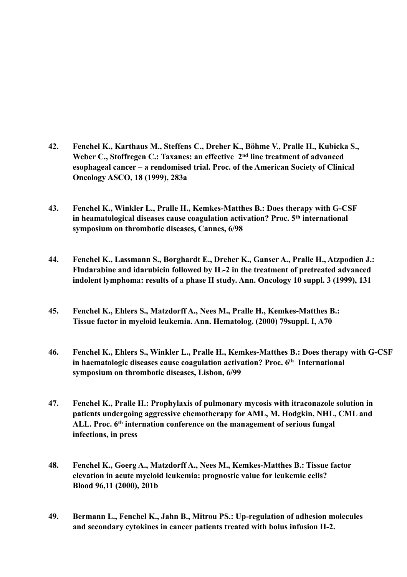- **42. Fenchel K., Karthaus M., Steffens C., Dreher K., Böhme V., Pralle H., Kubicka S.,** Weber C., Stoffregen C.: Taxanes: an effective 2<sup>nd</sup> line treatment of advanced  **esophageal cancer – a rendomised trial. Proc. of the American Society of Clinical Oncology ASCO, 18 (1999), 283a**
- **43. Fenchel K., Winkler L., Pralle H., Kemkes-Matthes B.: Does therapy with G-CSF in heamatological diseases cause coagulation activation? Proc. 5th international symposium on thrombotic diseases, Cannes, 6/98**
- **44. Fenchel K., Lassmann S., Borghardt E., Dreher K., Ganser A., Pralle H., Atzpodien J.: Fludarabine and idarubicin followed by IL-2 in the treatment of pretreated advanced indolent lymphoma: results of a phase II study. Ann. Oncology 10 suppl. 3 (1999), 131**
- **45. Fenchel K., Ehlers S., Matzdorff A., Nees M., Pralle H., Kemkes-Matthes B.: Tissue factor in myeloid leukemia. Ann. Hematolog. (2000) 79suppl. I, A70**
- **46. Fenchel K., Ehlers S., Winkler L., Pralle H., Kemkes-Matthes B.: Does therapy with G-CSF in haematologic diseases cause coagulation activation? Proc. 6th International symposium on thrombotic diseases, Lisbon, 6/99**
- **47. Fenchel K., Pralle H.: Prophylaxis of pulmonary mycosis with itraconazole solution in patients undergoing aggressive chemotherapy for AML, M. Hodgkin, NHL, CML and ALL. Proc. 6th internation conference on the management of serious fungal infections, in press**
- **48. Fenchel K., Goerg A., Matzdorff A., Nees M., Kemkes-Matthes B.: Tissue factor elevation in acute myeloid leukemia: prognostic value for leukemic cells? Blood 96,11 (2000), 201b**
- **49. Bermann L., Fenchel K., Jahn B., Mitrou PS.: Up-regulation of adhesion molecules and secondary cytokines in cancer patients treated with bolus infusion II-2.**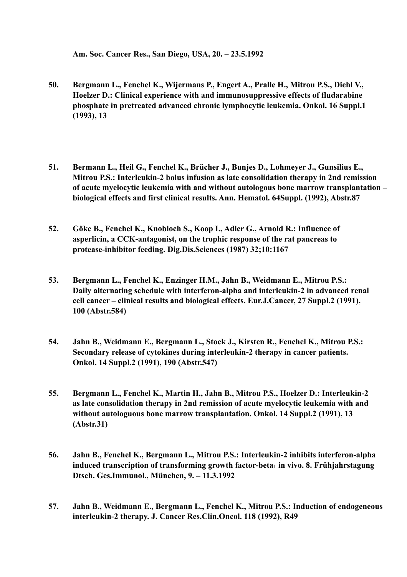**Am. Soc. Cancer Res., San Diego, USA, 20. – 23.5.1992**

- **50. Bergmann L., Fenchel K., Wijermans P., Engert A., Pralle H., Mitrou P.S., Diehl V., Hoelzer D.: Clinical experience with and immunosuppressive effects of fludarabine phosphate in pretreated advanced chronic lymphocytic leukemia. Onkol. 16 Suppl.1 (1993), 13**
- **51. Bermann L., Heil G., Fenchel K., Brücher J., Bunjes D., Lohmeyer J., Gunsilius E., Mitrou P.S.: Interleukin-2 bolus infusion as late consolidation therapy in 2nd remission of acute myelocytic leukemia with and without autologous bone marrow transplantation – biological effects and first clinical results. Ann. Hematol. 64Suppl. (1992), Abstr.87**
- **52. Göke B., Fenchel K., Knobloch S., Koop I., Adler G., Arnold R.: Influence of asperlicin, a CCK-antagonist, on the trophic response of the rat pancreas to protease-inhibitor feeding. Dig.Dis.Sciences (1987) 32;10:1167**
- **53. Bergmann L., Fenchel K., Enzinger H.M., Jahn B., Weidmann E., Mitrou P.S.: Daily alternating schedule with interferon-alpha and interleukin-2 in advanced renal cell cancer – clinical results and biological effects. Eur.J.Cancer, 27 Suppl.2 (1991), 100 (Abstr.584)**
- **54. Jahn B., Weidmann E., Bergmann L., Stock J., Kirsten R., Fenchel K., Mitrou P.S.: Secondary release of cytokines during interleukin-2 therapy in cancer patients. Onkol. 14 Suppl.2 (1991), 190 (Abstr.547)**
- **55. Bergmann L., Fenchel K., Martin H., Jahn B., Mitrou P.S., Hoelzer D.: Interleukin-2 as late consolidation therapy in 2nd remission of acute myelocytic leukemia with and without autologuous bone marrow transplantation. Onkol. 14 Suppl.2 (1991), 13 (Abstr.31)**
- **56. Jahn B., Fenchel K., Bergmann L., Mitrou P.S.: Interleukin-2 inhibits interferon-alpha** induced transcription of transforming growth factor-beta<sub>1</sub> in vivo. 8. Frühjahrstagung  **Dtsch. Ges.Immunol., München, 9. – 11.3.1992**
- **57. Jahn B., Weidmann E., Bergmann L., Fenchel K., Mitrou P.S.: Induction of endogeneous interleukin-2 therapy. J. Cancer Res.Clin.Oncol. 118 (1992), R49**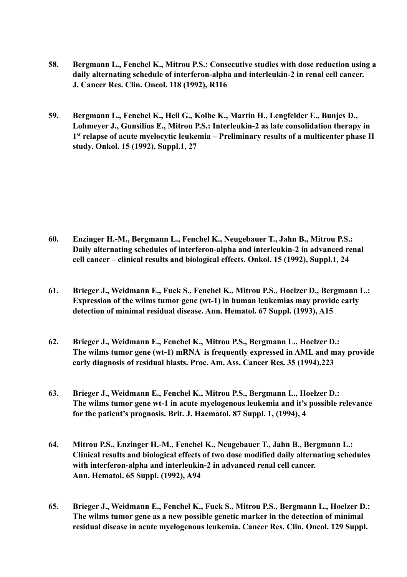- **58. Bergmann L., Fenchel K., Mitrou P.S.: Consecutive studies with dose reduction using a daily alternating schedule of interferon-alpha and interleukin-2 in renal cell cancer. J. Cancer Res. Clin. Oncol. 118 (1992), R116**
- **59. Bergmann L., Fenchel K., Heil G., Kolbe K., Martin H., Lengfelder E., Bunjes D., Lohmeyer J., Gunsilius E., Mitrou P.S.: Interleukin-2 as late consolidation therapy in 1st relapse of acute myelocytic leukemia – Preliminary results of a multicenter phase II study. Onkol. 15 (1992), Suppl.1, 27**

- **60. Enzinger H.-M., Bergmann L., Fenchel K., Neugebauer T., Jahn B., Mitrou P.S.: Daily alternating schedules of interferon-alpha and interleukin-2 in advanced renal cell cancer – clinical results and biological effects. Onkol. 15 (1992), Suppl.1, 24**
- **61. Brieger J., Weidmann E., Fuck S., Fenchel K., Mitrou P.S., Hoelzer D., Bergmann L.: Expression of the wilms tumor gene (wt-1) in human leukemias may provide early detection of minimal residual disease. Ann. Hematol. 67 Suppl. (1993), A15**
- **62. Brieger J., Weidmann E., Fenchel K., Mitrou P.S., Bergmann L., Hoelzer D.: The wilms tumor gene (wt-1) mRNA is frequently expressed in AML and may provide early diagnosis of residual blasts. Proc. Am. Ass. Cancer Res. 35 (1994),223**
- **63. Brieger J., Weidmann E., Fenchel K., Mitrou P.S., Bergmann L., Hoelzer D.: The wilms tumor gene wt-1 in acute myelogenous leukemia and it's possible relevance for the patient's prognosis. Brit. J. Haematol. 87 Suppl. 1, (1994), 4**
- **64. Mitrou P.S., Enzinger H.-M., Fenchel K., Neugebauer T., Jahn B., Bergmann L.: Clinical results and biological effects of two dose modified daily alternating schedules with interferon-alpha and interleukin-2 in advanced renal cell cancer. Ann. Hematol. 65 Suppl. (1992), A94**
- **65. Brieger J., Weidmann E., Fenchel K., Fuck S., Mitrou P.S., Bergmann L., Hoelzer D.: The wilms tumor gene as a new possible genetic marker in the detection of minimal residual disease in acute myelogenous leukemia. Cancer Res. Clin. Oncol. 129 Suppl.**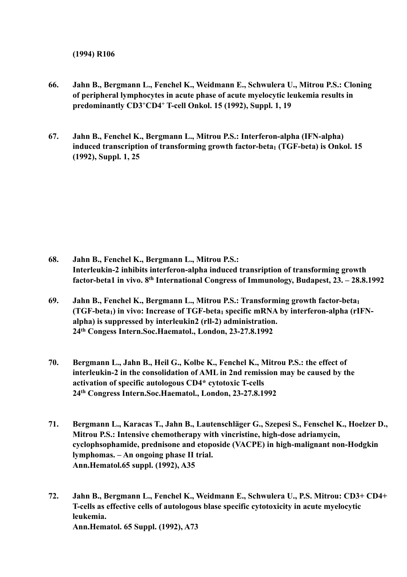**(1994) R106**

- **66. Jahn B., Bergmann L., Fenchel K., Weidmann E., Schwulera U., Mitrou P.S.: Cloning of peripheral lymphocytes in acute phase of acute myelocytic leukemia results in predominantly CD3+CD4+ T-cell Onkol. 15 (1992), Suppl. 1, 19**
- **67. Jahn B., Fenchel K., Bergmann L., Mitrou P.S.: Interferon-alpha (IFN-alpha) induced transcription of transforming growth factor-beta1 (TGF-beta) is Onkol. 15 (1992), Suppl. 1, 25**

- **68. Jahn B., Fenchel K., Bergmann L., Mitrou P.S.: Interleukin-2 inhibits interferon-alpha induced transription of transforming growth factor-beta1 in vivo. 8th International Congress of Immunology, Budapest, 23. – 28.8.1992**
- **69. Jahn B., Fenchel K., Bergmann L., Mitrou P.S.: Transforming growth factor-beta1 (TGF-beta<sub>1</sub>) in vivo: Increase of TGF-beta<sub>1</sub> specific mRNA by interferon-alpha (rIFN alpha) is suppressed by interleukin2 (rll-2) administration. 24th Congess Intern.Soc.Haematol., London, 23-27.8.1992**
- **70. Bergmann L., Jahn B., Heil G., Kolbe K., Fenchel K., Mitrou P.S.: the effect of interleukin-2 in the consolidation of AML in 2nd remission may be caused by the activation of specific autologous CD4\* cytotoxic T-cells 24th Congress Intern.Soc.Haematol., London, 23-27.8.1992**
- **71. Bergmann L., Karacas T., Jahn B., Lautenschläger G., Szepesi S., Fenschel K., Hoelzer D., Mitrou P.S.: Intensive chemotherapy with vincristine, high-dose adriamycin, cyclophsophamide, prednisone and etoposide (VACPE) in high-malignant non-Hodgkin lymphomas. – An ongoing phase II trial. Ann.Hematol.65 suppl. (1992), A35**
- **72. Jahn B., Bergmann L., Fenchel K., Weidmann E., Schwulera U., P.S. Mitrou: CD3+ CD4+ T-cells as effective cells of autologous blase specific cytotoxicity in acute myelocytic leukemia. Ann.Hematol. 65 Suppl. (1992), A73**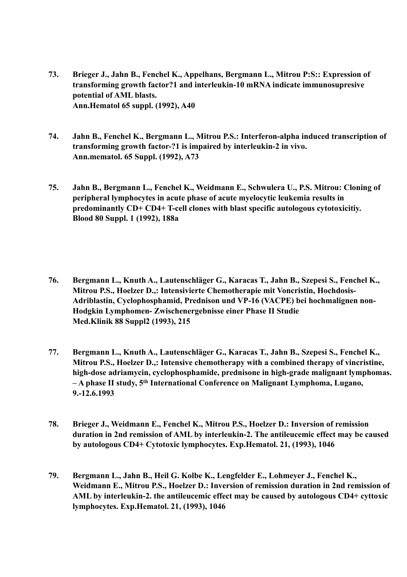- **73. Brieger J., Jahn B., Fenchel K., Appelhans, Bergmann L., Mitrou P:S:: Expression of transforming growth factor?1 and interleukin-10 mRNA indicate immunosupresive potential of AML blasts. Ann.Hematol 65 suppl. (1992), A40**
- **74. Jahn B., Fenchel K., Bergmann L., Mitrou P.S.: Interferon-alpha induced transcription of transforming growth factor-?1 is impaired by interleukin-2 in vivo. Ann.mematol. 65 Suppl. (1992), A73**
- **75. Jahn B., Bergmann L., Fenchel K., Weidmann E., Schwulera U., P.S. Mitrou: Cloning of peripheral lymphocytes in acute phase of acute myelocytic leukemia results in predominantly CD+ CD4+ T-cell clones with blast specific autologous cytotoxicitiy. Blood 80 Suppl. 1 (1992), 188a**
- **76. Bergmann L., Knuth A., Lautenschläger G., Karacas T., Jahn B., Szepesi S., Fenchel K., Mitrou P.S., Hoelzer D.,: Intensivierte Chemotherapie mit Voncristin, Hochdosis-Adriblastin, Cyclophosphamid, Prednison und VP-16 (VACPE) bei hochmalignen non-Hodgkin Lymphomen- Zwischenergebnisse einer Phase II Studie Med.Klinik 88 Suppl2 (1993), 215**
- **77. Bergmann L., Knuth A., Lautenschläger G., Karacas T., Jahn B., Szepesi S., Fenchel K., Mitrou P.S., Hoelzer D.,: Intensive chemotherapy with a combined therapy of vincristine, high-dose adriamycin, cyclophosphamide, prednisone in high-grade malignant lymphomas. – A phase II study, 5th International Conference on Malignant Lymphoma, Lugano, 9.-12.6.1993**
- **78. Brieger J., Weidmann E., Fenchel K., Mitrou P.S., Hoelzer D.: Inversion of remission duration in 2nd remission of AML by interleukin-2. The antileucemic effect may be caused by autologous CD4+ Cytotoxic lymphocytes. Exp.Hematol. 21, (1993), 1046**
- **79. Bergmann L., Jahn B., Heil G. Kolbe K., Lengfelder E., Lohmeyer J., Fenchel K., Weidmann E., Mitrou P.S., Hoelzer D.: Inversion of remission duration in 2nd remission of AML by interleukin-2. the antileucemic effect may be caused by autologous CD4+ cyttoxic lymphocytes. Exp.Hematol. 21, (1993), 1046**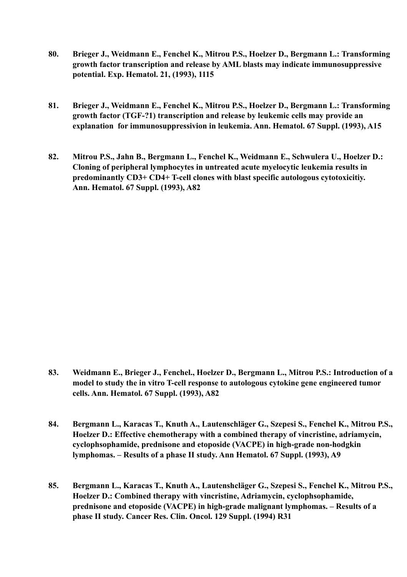- **80. Brieger J., Weidmann E., Fenchel K., Mitrou P.S., Hoelzer D., Bergmann L.: Transforming growth factor transcription and release by AML blasts may indicate immunosuppressive potential. Exp. Hematol. 21, (1993), 1115**
- **81. Brieger J., Weidmann E., Fenchel K., Mitrou P.S., Hoelzer D., Bergmann L.: Transforming growth factor (TGF-?1) transcription and release by leukemic cells may provide an explanation for immunosuppressivion in leukemia. Ann. Hematol. 67 Suppl. (1993), A15**
- **82. Mitrou P.S., Jahn B., Bergmann L., Fenchel K., Weidmann E., Schwulera U., Hoelzer D.: Cloning of peripheral lymphocytes in untreated acute myelocytic leukemia results in predominantly CD3+ CD4+ T-cell clones with blast specific autologous cytotoxicitiy. Ann. Hematol. 67 Suppl. (1993), A82**

**83. Weidmann E., Brieger J., Fenchel., Hoelzer D., Bergmann L., Mitrou P.S.: Introduction of a model to study the in vitro T-cell response to autologous cytokine gene engineered tumor cells. Ann. Hematol. 67 Suppl. (1993), A82**

**84. Bergmann L., Karacas T., Knuth A., Lautenschläger G., Szepesi S., Fenchel K., Mitrou P.S., Hoelzer D.: Effective chemotherapy with a combined therapy of vincristine, adriamycin, cyclophsophamide, prednisone and etoposide (VACPE) in high-grade non-hodgkin lymphomas. – Results of a phase II study. Ann Hematol. 67 Suppl. (1993), A9**

**85. Bergmann L., Karacas T., Knuth A., Lautenshcläger G., Szepesi S., Fenchel K., Mitrou P.S., Hoelzer D.: Combined therapy with vincristine, Adriamycin, cyclophsophamide, prednisone and etoposide (VACPE) in high-grade malignant lymphomas. – Results of a phase II study. Cancer Res. Clin. Oncol. 129 Suppl. (1994) R31**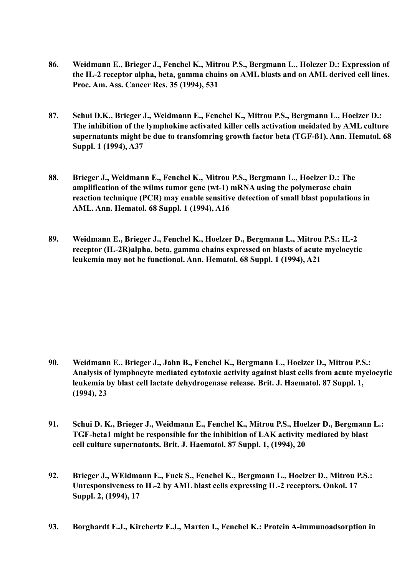- **86. Weidmann E., Brieger J., Fenchel K., Mitrou P.S., Bergmann L., Holezer D.: Expression of the IL-2 receptor alpha, beta, gamma chains on AML blasts and on AML derived cell lines. Proc. Am. Ass. Cancer Res. 35 (1994), 531**
- **87. Schui D.K., Brieger J., Weidmann E., Fenchel K., Mitrou P.S., Bergmann L., Hoelzer D.: The inhibition of the lymphokine activated killer cells activation meidated by AML culture supernatants might be due to transfomring growth factor beta (TGF-ß1). Ann. Hematol. 68 Suppl. 1 (1994), A37**
- **88. Brieger J., Weidmann E., Fenchel K., Mitrou P.S., Bergmann L., Hoelzer D.: The amplification of the wilms tumor gene (wt-1) mRNA using the polymerase chain reaction technique (PCR) may enable sensitive detection of small blast populations in AML. Ann. Hematol. 68 Suppl. 1 (1994), A16**
- **89. Weidmann E., Brieger J., Fenchel K., Hoelzer D., Bergmann L., Mitrou P.S.: IL-2 receptor (IL-2R)alpha, beta, gamma chains expressed on blasts of acute myelocytic leukemia may not be functional. Ann. Hematol. 68 Suppl. 1 (1994), A21**

- **90. Weidmann E., Brieger J., Jahn B., Fenchel K., Bergmann L., Hoelzer D., Mitrou P.S.: Analysis of lymphocyte mediated cytotoxic activity against blast cells from acute myelocytic leukemia by blast cell lactate dehydrogenase release. Brit. J. Haematol. 87 Suppl. 1, (1994), 23**
- **91. Schui D. K., Brieger J., Weidmann E., Fenchel K., Mitrou P.S., Hoelzer D., Bergmann L.: TGF-beta1 might be responsible for the inhibition of LAK activity mediated by blast cell culture supernatants. Brit. J. Haematol. 87 Suppl. 1, (1994), 20**
- **92. Brieger J., WEidmann E., Fuck S., Fenchel K., Bergmann L., Hoelzer D., Mitrou P.S.: Unresponsiveness to IL-2 by AML blast cells expressing IL-2 receptors. Onkol. 17 Suppl. 2, (1994), 17**
- **93. Borghardt E.J., Kirchertz E.J., Marten I., Fenchel K.: Protein A-immunoadsorption in**